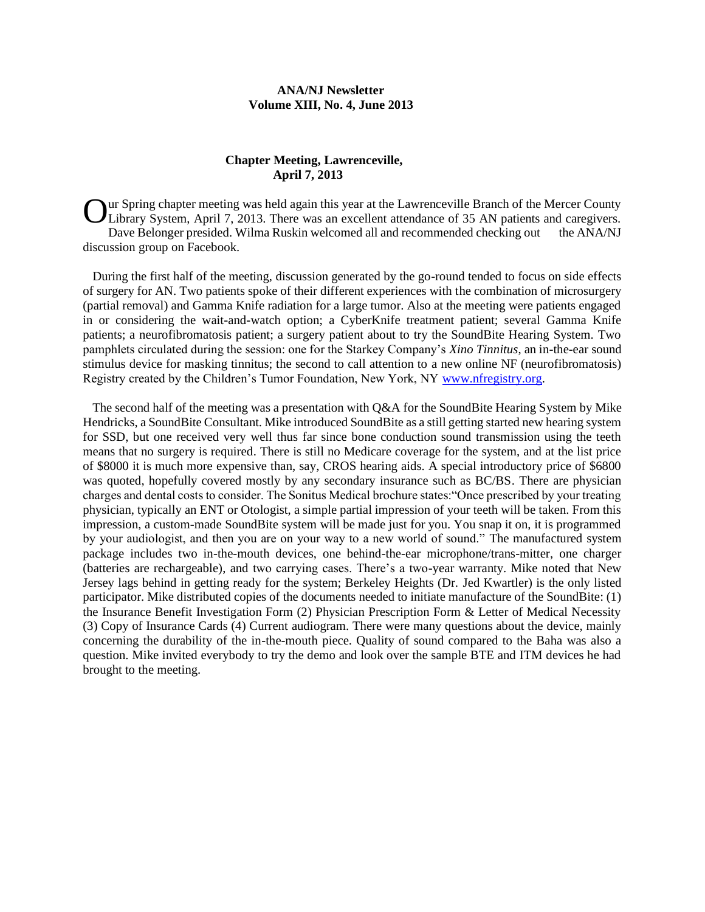### **ANA/NJ Newsletter Volume XIII, No. 4, June 2013**

### **Chapter Meeting, Lawrenceville, April 7, 2013**

Our Spring chapter meeting was held again this year at the Lawrenceville Branch of the Mercer County Library System, April 7, 2013. There was an excellent attendance of 35 AN patients and caregivers. Library System, April 7, 2013. There was an excellent attendance of 35 AN patients and caregivers. Dave Belonger presided. Wilma Ruskin welcomed all and recommended checking out the ANA/NJ discussion group on Facebook.

 During the first half of the meeting, discussion generated by the go-round tended to focus on side effects of surgery for AN. Two patients spoke of their different experiences with the combination of microsurgery (partial removal) and Gamma Knife radiation for a large tumor. Also at the meeting were patients engaged in or considering the wait-and-watch option; a CyberKnife treatment patient; several Gamma Knife patients; a neurofibromatosis patient; a surgery patient about to try the SoundBite Hearing System. Two pamphlets circulated during the session: one for the Starkey Company's *Xino Tinnitus*, an in-the-ear sound stimulus device for masking tinnitus; the second to call attention to a new online NF (neurofibromatosis) Registry created by the Children's Tumor Foundation, New York, NY [www.nfregistry.org.](http://www.nfregistry.org/)

 The second half of the meeting was a presentation with Q&A for the SoundBite Hearing System by Mike Hendricks, a SoundBite Consultant. Mike introduced SoundBite as a still getting started new hearing system for SSD, but one received very well thus far since bone conduction sound transmission using the teeth means that no surgery is required. There is still no Medicare coverage for the system, and at the list price of \$8000 it is much more expensive than, say, CROS hearing aids. A special introductory price of \$6800 was quoted, hopefully covered mostly by any secondary insurance such as BC/BS. There are physician charges and dental costs to consider. The Sonitus Medical brochure states:"Once prescribed by your treating physician, typically an ENT or Otologist, a simple partial impression of your teeth will be taken. From this impression, a custom-made SoundBite system will be made just for you. You snap it on, it is programmed by your audiologist, and then you are on your way to a new world of sound." The manufactured system package includes two in-the-mouth devices, one behind-the-ear microphone/trans-mitter, one charger (batteries are rechargeable), and two carrying cases. There's a two-year warranty. Mike noted that New Jersey lags behind in getting ready for the system; Berkeley Heights (Dr. Jed Kwartler) is the only listed participator. Mike distributed copies of the documents needed to initiate manufacture of the SoundBite: (1) the Insurance Benefit Investigation Form (2) Physician Prescription Form & Letter of Medical Necessity (3) Copy of Insurance Cards (4) Current audiogram. There were many questions about the device, mainly concerning the durability of the in-the-mouth piece. Quality of sound compared to the Baha was also a question. Mike invited everybody to try the demo and look over the sample BTE and ITM devices he had brought to the meeting.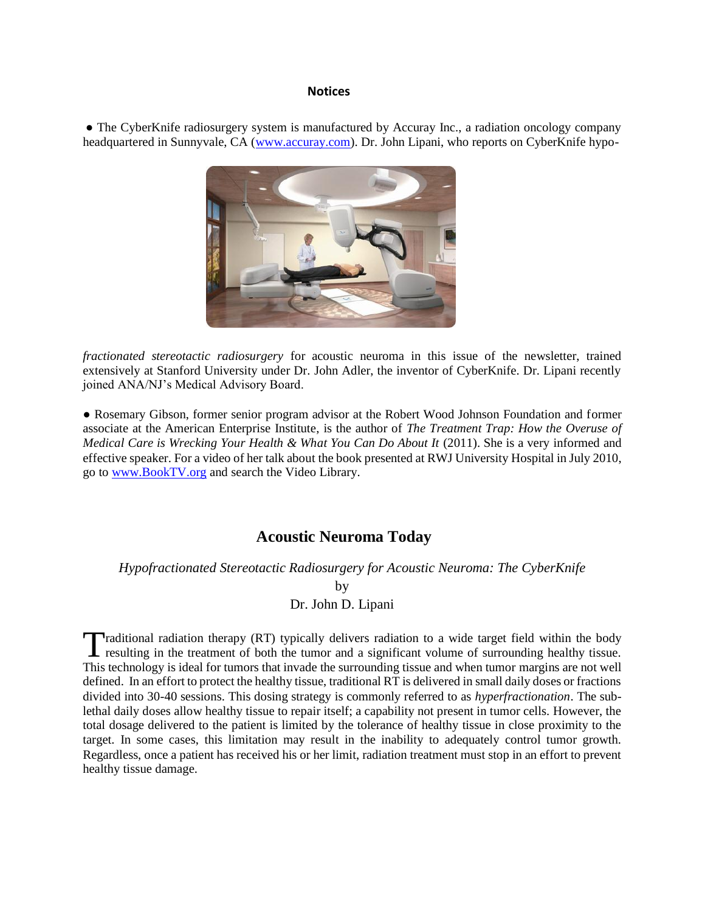#### **Notices**

**●** The CyberKnife radiosurgery system is manufactured by Accuray Inc., a radiation oncology company headquartered in Sunnyvale, CA [\(www.accuray.com\)](http://www.accuray.com/). Dr. John Lipani, who reports on CyberKnife hypo-



*fractionated stereotactic radiosurgery* for acoustic neuroma in this issue of the newsletter, trained extensively at Stanford University under Dr. John Adler, the inventor of CyberKnife. Dr. Lipani recently joined ANA/NJ's Medical Advisory Board.

● Rosemary Gibson, former senior program advisor at the Robert Wood Johnson Foundation and former associate at the American Enterprise Institute, is the author of *The Treatment Trap: How the Overuse of Medical Care is Wrecking Your Health & What You Can Do About It (2011). She is a very informed and* effective speaker. For a video of her talk about the book presented at RWJ University Hospital in July 2010, go to [www.BookTV.org](http://www.booktv.org/) and search the Video Library.

## **Acoustic Neuroma Today**

*Hypofractionated Stereotactic Radiosurgery for Acoustic Neuroma: The CyberKnife*

**by** Dr. John D. Lipani

raditional radiation therapy (RT) typically delivers radiation to a wide target field within the body Traditional radiation therapy (RT) typically delivers radiation to a wide target field within the body resulting in the treatment of both the tumor and a significant volume of surrounding healthy tissue. This technology is ideal for tumors that invade the surrounding tissue and when tumor margins are not well defined. In an effort to protect the healthy tissue, traditional RT is delivered in small daily doses or fractions divided into 30-40 sessions. This dosing strategy is commonly referred to as *hyperfractionation*. The sublethal daily doses allow healthy tissue to repair itself; a capability not present in tumor cells. However, the total dosage delivered to the patient is limited by the tolerance of healthy tissue in close proximity to the target. In some cases, this limitation may result in the inability to adequately control tumor growth. Regardless, once a patient has received his or her limit, radiation treatment must stop in an effort to prevent healthy tissue damage.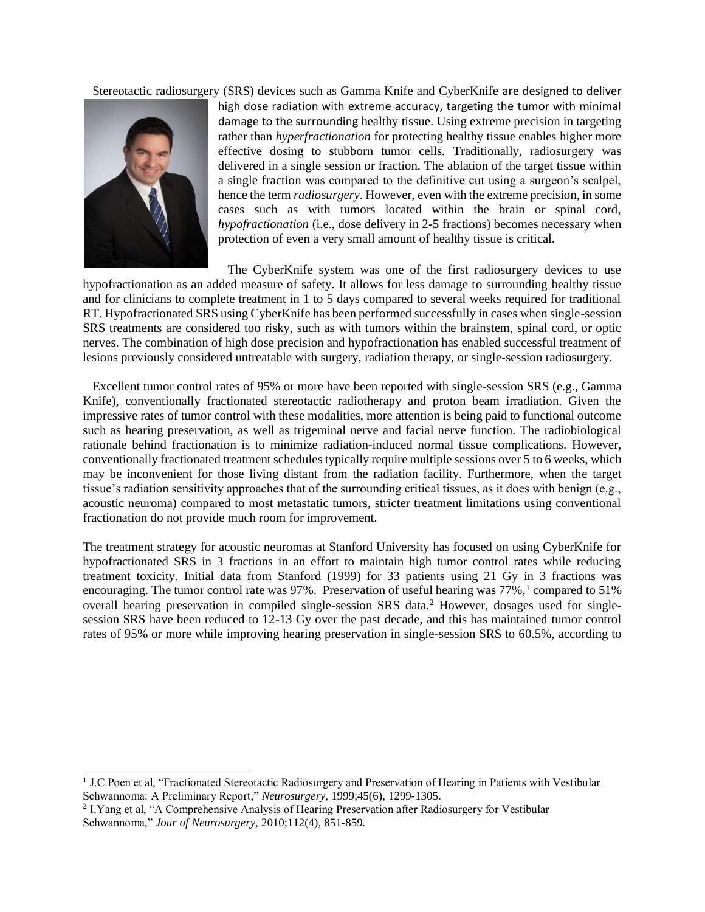Stereotactic radiosurgery (SRS) devices such as Gamma Knife and CyberKnife are designed to deliver



l

high dose radiation with extreme accuracy, targeting the tumor with minimal damage to the surrounding healthy tissue. Using extreme precision in targeting rather than *hyperfractionation* for protecting healthy tissue enables higher more effective dosing to stubborn tumor cells. Traditionally, radiosurgery was delivered in a single session or fraction. The ablation of the target tissue within a single fraction was compared to the definitive cut using a surgeon's scalpel, hence the term *radiosurgery*. However, even with the extreme precision, in some cases such as with tumors located within the brain or spinal cord, *hypofractionation* (i.e., dose delivery in 2-5 fractions) becomes necessary when protection of even a very small amount of healthy tissue is critical.

 The CyberKnife system was one of the first radiosurgery devices to use hypofractionation as an added measure of safety. It allows for less damage to surrounding healthy tissue and for clinicians to complete treatment in 1 to 5 days compared to several weeks required for traditional RT. Hypofractionated SRS using CyberKnife has been performed successfully in cases when single-session SRS treatments are considered too risky, such as with tumors within the brainstem, spinal cord, or optic nerves. The combination of high dose precision and hypofractionation has enabled successful treatment of lesions previously considered untreatable with surgery, radiation therapy, or single-session radiosurgery.

 Excellent tumor control rates of 95% or more have been reported with single-session SRS (e.g., Gamma Knife), conventionally fractionated stereotactic radiotherapy and proton beam irradiation. Given the impressive rates of tumor control with these modalities, more attention is being paid to functional outcome such as hearing preservation, as well as trigeminal nerve and facial nerve function. The radiobiological rationale behind fractionation is to minimize radiation-induced normal tissue complications. However, conventionally fractionated treatment schedules typically require multiple sessions over 5 to 6 weeks, which may be inconvenient for those living distant from the radiation facility. Furthermore, when the target tissue's radiation sensitivity approaches that of the surrounding critical tissues, as it does with benign (e.g., acoustic neuroma) compared to most metastatic tumors, stricter treatment limitations using conventional fractionation do not provide much room for improvement.

The treatment strategy for acoustic neuromas at Stanford University has focused on using CyberKnife for hypofractionated SRS in 3 fractions in an effort to maintain high tumor control rates while reducing treatment toxicity. Initial data from Stanford (1999) for 33 patients using 21 Gy in 3 fractions was encouraging. The tumor control rate was 97%. Preservation of useful hearing was  $77\%$ , compared to 51% overall hearing preservation in compiled single-session SRS data.<sup>2</sup> However, dosages used for singlesession SRS have been reduced to 12-13 Gy over the past decade, and this has maintained tumor control rates of 95% or more while improving hearing preservation in single-session SRS to 60.5%, according to

<sup>&</sup>lt;sup>1</sup> J.C.Poen et al, "Fractionated Stereotactic Radiosurgery and Preservation of Hearing in Patients with Vestibular Schwannoma: A Preliminary Report," *Neurosurgery*, 1999;45(6), 1299-1305.

<sup>&</sup>lt;sup>2</sup> I. Yang et al, "A Comprehensive Analysis of Hearing Preservation after Radiosurgery for Vestibular Schwannoma," *Jour of Neurosurgery*, 2010;112(4), 851-859.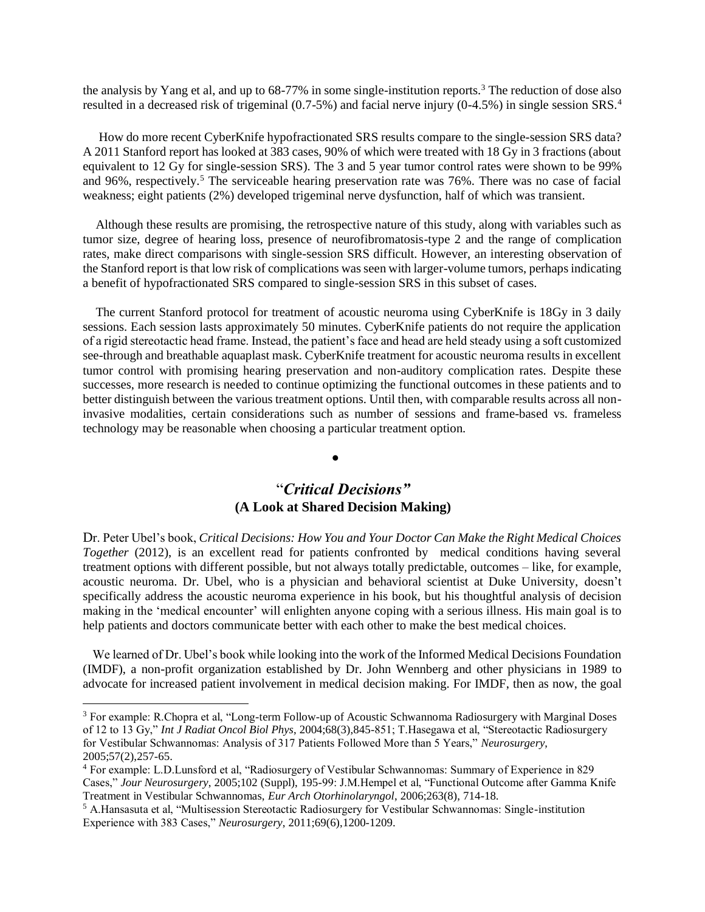the analysis by Yang et al, and up to 68-77% in some single-institution reports.<sup>3</sup> The reduction of dose also resulted in a decreased risk of trigeminal (0.7-5%) and facial nerve injury (0-4.5%) in single session SRS.<sup>4</sup>

 How do more recent CyberKnife hypofractionated SRS results compare to the single-session SRS data? A 2011 Stanford report has looked at 383 cases, 90% of which were treated with 18 Gy in 3 fractions (about equivalent to 12 Gy for single-session SRS). The 3 and 5 year tumor control rates were shown to be 99% and 96%, respectively.<sup>5</sup> The serviceable hearing preservation rate was 76%. There was no case of facial weakness; eight patients (2%) developed trigeminal nerve dysfunction, half of which was transient.

 Although these results are promising, the retrospective nature of this study, along with variables such as tumor size, degree of hearing loss, presence of neurofibromatosis-type 2 and the range of complication rates, make direct comparisons with single-session SRS difficult. However, an interesting observation of the Stanford report is that low risk of complications was seen with larger-volume tumors, perhaps indicating a benefit of hypofractionated SRS compared to single-session SRS in this subset of cases.

 The current Stanford protocol for treatment of acoustic neuroma using CyberKnife is 18Gy in 3 daily sessions. Each session lasts approximately 50 minutes. CyberKnife patients do not require the application of a rigid stereotactic head frame. Instead, the patient's face and head are held steady using a soft customized see-through and breathable aquaplast mask. CyberKnife treatment for acoustic neuroma results in excellent tumor control with promising hearing preservation and non-auditory complication rates. Despite these successes, more research is needed to continue optimizing the functional outcomes in these patients and to better distinguish between the various treatment options. Until then, with comparable results across all noninvasive modalities, certain considerations such as number of sessions and frame-based vs. frameless technology may be reasonable when choosing a particular treatment option.

### ●

## "*Critical Decisions"*  **(A Look at Shared Decision Making)**

Dr. Peter Ubel's book, *Critical Decisions: How You and Your Doctor Can Make the Right Medical Choices Together* (2012), is an excellent read for patients confronted by medical conditions having several treatment options with different possible, but not always totally predictable, outcomes – like, for example, acoustic neuroma. Dr. Ubel, who is a physician and behavioral scientist at Duke University, doesn't specifically address the acoustic neuroma experience in his book, but his thoughtful analysis of decision making in the 'medical encounter' will enlighten anyone coping with a serious illness. His main goal is to help patients and doctors communicate better with each other to make the best medical choices.

 We learned of Dr. Ubel's book while looking into the work of the Informed Medical Decisions Foundation (IMDF), a non-profit organization established by Dr. John Wennberg and other physicians in 1989 to advocate for increased patient involvement in medical decision making. For IMDF, then as now, the goal

 $\overline{a}$ 

<sup>3</sup> For example: R.Chopra et al, "Long-term Follow-up of Acoustic Schwannoma Radiosurgery with Marginal Doses of 12 to 13 Gy," *Int J Radiat Oncol Biol Phys*, 2004;68(3),845-851; T.Hasegawa et al, "Stereotactic Radiosurgery for Vestibular Schwannomas: Analysis of 317 Patients Followed More than 5 Years," *Neurosurgery*, 2005;57(2),257-65.

<sup>4</sup> For example: L.D.Lunsford et al, "Radiosurgery of Vestibular Schwannomas: Summary of Experience in 829 Cases," *Jour Neurosurgery*, 2005;102 (Suppl), 195-99: J.M.Hempel et al, "Functional Outcome after Gamma Knife Treatment in Vestibular Schwannomas, *Eur Arch Otorhinolaryngol*, 2006;263(8), 714-18.

<sup>5</sup> A.Hansasuta et al, "Multisession Stereotactic Radiosurgery for Vestibular Schwannomas: Single-institution Experience with 383 Cases," *Neurosurgery*, 2011;69(6),1200-1209.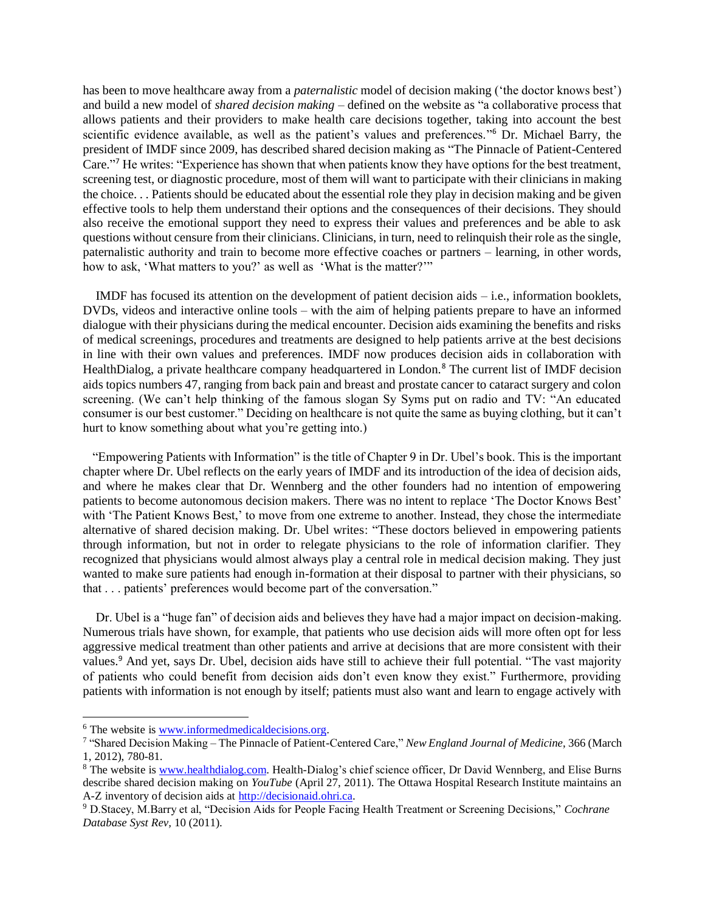has been to move healthcare away from a *paternalistic* model of decision making ('the doctor knows best') and build a new model of *shared decision making* – defined on the website as "a collaborative process that allows patients and their providers to make health care decisions together, taking into account the best scientific evidence available, as well as the patient's values and preferences."<sup>6</sup> Dr. Michael Barry, the president of IMDF since 2009, has described shared decision making as "The Pinnacle of Patient-Centered Care." <sup>7</sup> He writes: "Experience has shown that when patients know they have options for the best treatment, screening test, or diagnostic procedure, most of them will want to participate with their clinicians in making the choice. . . Patients should be educated about the essential role they play in decision making and be given effective tools to help them understand their options and the consequences of their decisions. They should also receive the emotional support they need to express their values and preferences and be able to ask questions without censure from their clinicians. Clinicians, in turn, need to relinquish their role as the single, paternalistic authority and train to become more effective coaches or partners – learning, in other words, how to ask, 'What matters to you?' as well as 'What is the matter?'"

 IMDF has focused its attention on the development of patient decision aids – i.e., information booklets, DVDs, videos and interactive online tools – with the aim of helping patients prepare to have an informed dialogue with their physicians during the medical encounter. Decision aids examining the benefits and risks of medical screenings, procedures and treatments are designed to help patients arrive at the best decisions in line with their own values and preferences. IMDF now produces decision aids in collaboration with HealthDialog, a private healthcare company headquartered in London.<sup>8</sup> The current list of IMDF decision aids topics numbers 47, ranging from back pain and breast and prostate cancer to cataract surgery and colon screening. (We can't help thinking of the famous slogan Sy Syms put on radio and TV: "An educated consumer is our best customer." Deciding on healthcare is not quite the same as buying clothing, but it can't hurt to know something about what you're getting into.)

 "Empowering Patients with Information" is the title of Chapter 9 in Dr. Ubel's book. This is the important chapter where Dr. Ubel reflects on the early years of IMDF and its introduction of the idea of decision aids, and where he makes clear that Dr. Wennberg and the other founders had no intention of empowering patients to become autonomous decision makers. There was no intent to replace 'The Doctor Knows Best' with 'The Patient Knows Best,' to move from one extreme to another. Instead, they chose the intermediate alternative of shared decision making. Dr. Ubel writes: "These doctors believed in empowering patients through information, but not in order to relegate physicians to the role of information clarifier. They recognized that physicians would almost always play a central role in medical decision making. They just wanted to make sure patients had enough in-formation at their disposal to partner with their physicians, so that . . . patients' preferences would become part of the conversation."

 Dr. Ubel is a "huge fan" of decision aids and believes they have had a major impact on decision-making. Numerous trials have shown, for example, that patients who use decision aids will more often opt for less aggressive medical treatment than other patients and arrive at decisions that are more consistent with their values.<sup>9</sup> And yet, says Dr. Ubel, decision aids have still to achieve their full potential. "The vast majority of patients who could benefit from decision aids don't even know they exist." Furthermore, providing patients with information is not enough by itself; patients must also want and learn to engage actively with

 $\overline{a}$ 

<sup>6</sup> The website is [www.informedmedicaldecisions.org.](http://www.informedmedicaldecisions.org/)

<sup>7</sup> "Shared Decision Making – The Pinnacle of Patient-Centered Care," *New England Journal of Medicine*, 366 (March 1, 2012), 780-81.

<sup>&</sup>lt;sup>8</sup> The website is [www.healthdialog.com.](http://www.healthdialog.com/) Health-Dialog's chief science officer, Dr David Wennberg, and Elise Burns describe shared decision making on *YouTube* (April 27, 2011). The Ottawa Hospital Research Institute maintains an A-Z inventory of decision aids at [http://decisionaid.ohri.ca.](http://decisionaid.ohri.ca/) 

<sup>9</sup> D.Stacey, M.Barry et al, "Decision Aids for People Facing Health Treatment or Screening Decisions," *Cochrane Database Syst Rev,* 10 (2011).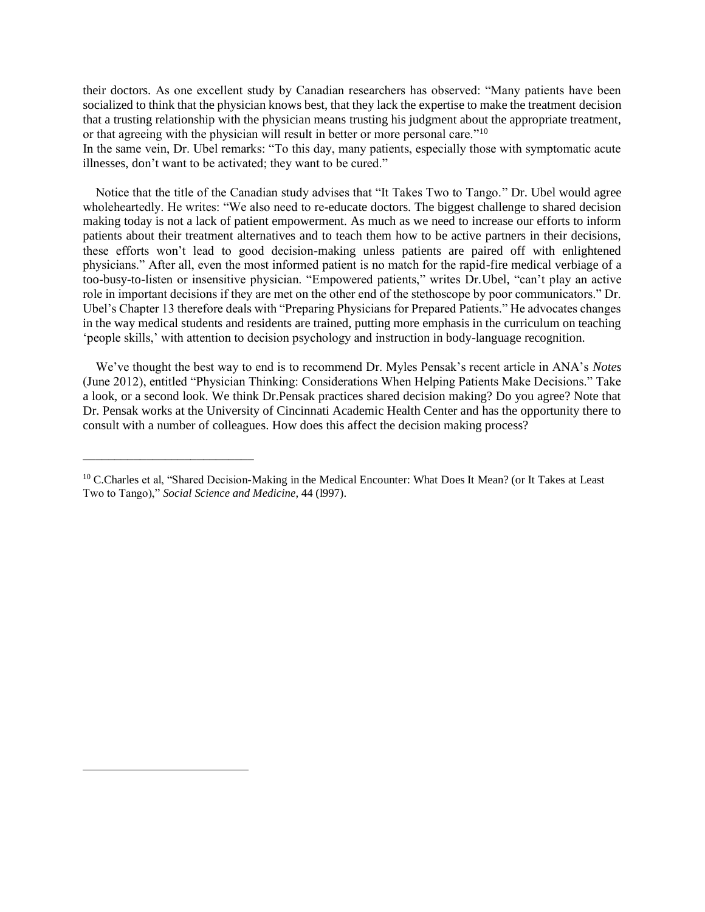their doctors. As one excellent study by Canadian researchers has observed: "Many patients have been socialized to think that the physician knows best, that they lack the expertise to make the treatment decision that a trusting relationship with the physician means trusting his judgment about the appropriate treatment, or that agreeing with the physician will result in better or more personal care."<sup>10</sup>

In the same vein, Dr. Ubel remarks: "To this day, many patients, especially those with symptomatic acute illnesses, don't want to be activated; they want to be cured."

 Notice that the title of the Canadian study advises that "It Takes Two to Tango." Dr. Ubel would agree wholeheartedly. He writes: "We also need to re-educate doctors. The biggest challenge to shared decision making today is not a lack of patient empowerment. As much as we need to increase our efforts to inform patients about their treatment alternatives and to teach them how to be active partners in their decisions, these efforts won't lead to good decision-making unless patients are paired off with enlightened physicians." After all, even the most informed patient is no match for the rapid-fire medical verbiage of a too-busy-to-listen or insensitive physician. "Empowered patients," writes Dr.Ubel, "can't play an active role in important decisions if they are met on the other end of the stethoscope by poor communicators." Dr. Ubel's Chapter 13 therefore deals with "Preparing Physicians for Prepared Patients." He advocates changes in the way medical students and residents are trained, putting more emphasis in the curriculum on teaching 'people skills,' with attention to decision psychology and instruction in body-language recognition.

 We've thought the best way to end is to recommend Dr. Myles Pensak's recent article in ANA's *Notes* (June 2012), entitled "Physician Thinking: Considerations When Helping Patients Make Decisions." Take a look, or a second look. We think Dr.Pensak practices shared decision making? Do you agree? Note that Dr. Pensak works at the University of Cincinnati Academic Health Center and has the opportunity there to consult with a number of colleagues. How does this affect the decision making process?

\_\_\_\_\_\_\_\_\_\_\_\_\_\_\_\_\_\_\_\_\_\_\_\_\_\_\_

l

<sup>&</sup>lt;sup>10</sup> C.Charles et al, "Shared Decision-Making in the Medical Encounter: What Does It Mean? (or It Takes at Least Two to Tango)," *Social Science and Medicine*, 44 (l997).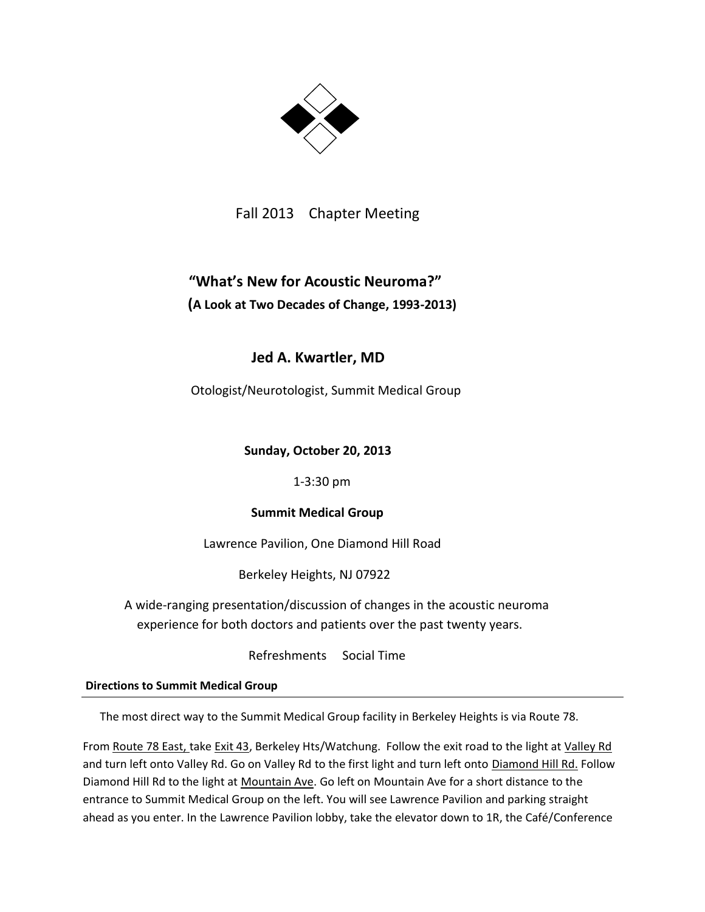

Fall 2013 Chapter Meeting

# **"What's New for Acoustic Neuroma?" (A Look at Two Decades of Change, 1993-2013)**

# **Jed A. Kwartler, MD**

Otologist/Neurotologist, Summit Medical Group

**Sunday, October 20, 2013**

1-3:30 pm

## **Summit Medical Group**

Lawrence Pavilion, One Diamond Hill Road

Berkeley Heights, NJ 07922

A wide-ranging presentation/discussion of changes in the acoustic neuroma experience for both doctors and patients over the past twenty years.

Refreshments Social Time

**Directions to Summit Medical Group**

The most direct way to the Summit Medical Group facility in Berkeley Heights is via Route 78.

From Route 78 East, take Exit 43, Berkeley Hts/Watchung. Follow the exit road to the light at Valley Rd and turn left onto Valley Rd. Go on Valley Rd to the first light and turn left onto Diamond Hill Rd. Follow Diamond Hill Rd to the light at Mountain Ave. Go left on Mountain Ave for a short distance to the entrance to Summit Medical Group on the left. You will see Lawrence Pavilion and parking straight ahead as you enter. In the Lawrence Pavilion lobby, take the elevator down to 1R, the Café/Conference